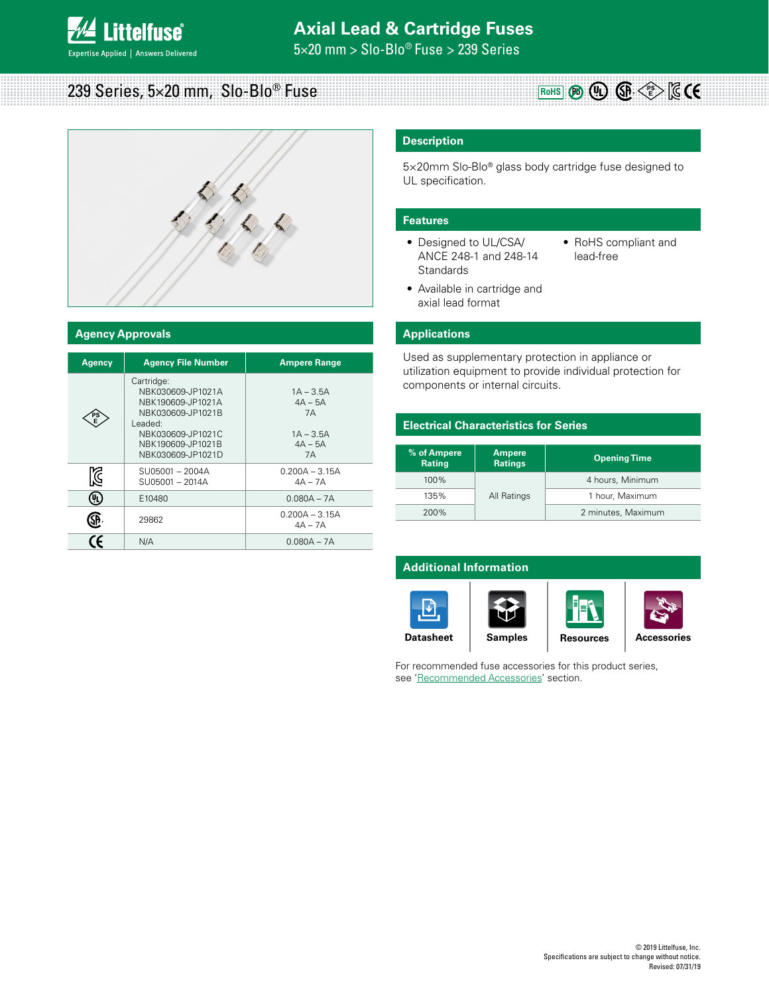5×20 mm > Slo-Blo® Fuse > 239 Series

#### **RoHS** (Pb) (PL) (SP  $\leq$  E 239 Series, 5×20 mm, Slo-Blo® Fuse



### **Agency Approvals**

| <b>Agency</b> | <b>Agency File Number</b>                                                                                                                           | <b>Ampere Range</b>                                                     |
|---------------|-----------------------------------------------------------------------------------------------------------------------------------------------------|-------------------------------------------------------------------------|
| PS            | Cartridge:<br>NBK030609-JP1021A<br>NBK190609-JP1021A<br>NBK030609-JP1021B<br>Leaded:<br>NBK030609-JP1021C<br>NBK190609-JP1021B<br>NBK030609-JP1021D | $1A - 3.5A$<br>$4A - 5A$<br><b>7A</b><br>$1A - 3.5A$<br>$4A - 5A$<br>7A |
| K             | SU05001-2004A<br>SU05001 - 2014A                                                                                                                    | $0.200A - 3.15A$<br>$4A - 7A$                                           |
| Q,            | E10480                                                                                                                                              | $0.080A - 7A$                                                           |
|               | 29862                                                                                                                                               | $0.200A - 3.15A$<br>$4A - 7A$                                           |
|               | N/A                                                                                                                                                 | $0.080A - 7A$                                                           |

# **Description**

5×20mm Slo-Blo® glass body cartridge fuse designed to UL specification.

#### **Features**

- Designed to UL/CSA/ ANCE 248-1 and 248-14 **Standards**
- RoHS compliant and lead-free
- Available in cartridge and axial lead format

### **Applications**

Used as supplementary protection in appliance or utilization equipment to provide individual protection for components or internal circuits.

## **Electrical Characteristics for Series**

| % of Ampere<br><b>Rating</b> | <b>Ampere</b><br><b>Ratings</b> | <b>Opening Time</b> |  |
|------------------------------|---------------------------------|---------------------|--|
| $100\%$                      |                                 | 4 hours, Minimum    |  |
| 135%                         | All Ratings                     | 1 hour, Maximum     |  |
| 200%                         |                                 | 2 minutes, Maximum  |  |

# **Additional Information**











For recommended fuse accessories for this product series, see 'Recommended Accessories' section.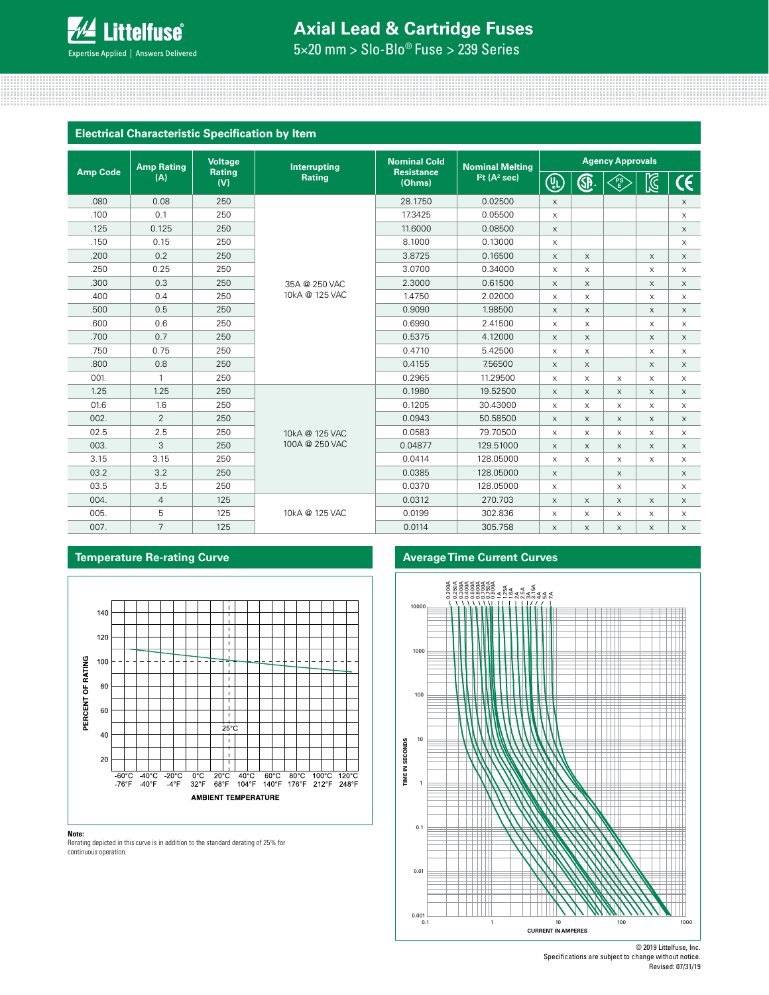

# **Axial Lead & Cartridge Fuses**

5×20 mm > Slo-Blo® Fuse > 239 Series

### **Electrical Characteristic Specification by Item**

|                 | <b>Amp Rating</b> | <b>Voltage</b> | Interrupting   | <b>Nominal Cold</b><br><b>Resistance</b><br>(Ohms) | <b>Nominal Melting</b><br>I <sup>2</sup> t (A <sup>2</sup> sec) | <b>Agency Approvals</b>   |                           |          |             |                           |
|-----------------|-------------------|----------------|----------------|----------------------------------------------------|-----------------------------------------------------------------|---------------------------|---------------------------|----------|-------------|---------------------------|
| <b>Amp Code</b> | (A)               | Rating<br>(V)  | <b>Rating</b>  |                                                    |                                                                 | (U)                       | GP.                       | FS<br>E  | <b>S</b>    | $\mathsf{C}\mathsf{C}$    |
| .080            | 0.08              | 250            |                | 28.1750                                            | 0.02500                                                         | $\times$                  |                           |          |             | $\boldsymbol{\times}$     |
| .100            | 0.1               | 250            |                | 17.3425                                            | 0.05500                                                         | $\mathsf X$               |                           |          |             | $\times$                  |
| .125            | 0.125             | 250            |                | 11,6000                                            | 0.08500                                                         | $\times$                  |                           |          |             | $\times$                  |
| .150            | 0.15              | 250            |                | 8.1000                                             | 0.13000                                                         | $\boldsymbol{\mathsf{X}}$ |                           |          |             | X                         |
| .200            | 0.2               | 250            |                | 3.8725                                             | 0.16500                                                         | $\times$                  | $\times$                  |          | $\times$    | $\times$                  |
| .250            | 0.25              | 250            |                | 3.0700                                             | 0.34000                                                         | $\boldsymbol{\mathsf{X}}$ | $\mathsf X$               |          | X           | $\times$                  |
| .300            | 0.3               | 250            | 35A @ 250 VAC  | 2.3000                                             | 0.61500                                                         | $\boldsymbol{\mathsf{X}}$ | $\mathsf X$               |          | $\mathsf X$ | $\boldsymbol{\times}$     |
| .400            | 0.4               | 250            | 10kA @ 125 VAC | 1.4750                                             | 2.02000                                                         | $\times$                  | $\times$                  |          | $\times$    | $\times$                  |
| .500            | 0.5               | 250            |                | 0.9090                                             | 1.98500                                                         | $\times$                  | X                         |          | $\times$    | $\boldsymbol{\mathsf{X}}$ |
| .600            | 0.6               | 250            |                | 0.6990                                             | 2.41500                                                         | $\times$                  | X                         |          | X           | $\times$                  |
| .700            | 0.7               | 250            |                | 0.5375                                             | 4.12000                                                         | $\mathsf X$               | X                         |          | X           | $\times$                  |
| .750            | 0.75              | 250            |                | 0.4710                                             | 5.42500                                                         | X                         | X                         |          | X           | $\times$                  |
| .800            | 0.8               | 250            |                | 0.4155                                             | 7.56500                                                         | $\boldsymbol{\mathsf{X}}$ | $\mathsf X$               |          | $\times$    | $\boldsymbol{\mathsf{X}}$ |
| 001.            | $\mathbf{1}$      | 250            |                | 0.2965                                             | 11.29500                                                        | $\times$                  | $\times$                  | X        | $\times$    | $\times$                  |
| 1.25            | 1.25              | 250            |                | 0.1980                                             | 19.52500                                                        | $\times$                  | $\times$                  | $\times$ | $\times$    | $\times$                  |
| 01.6            | 1.6               | 250            |                | 0.1205                                             | 30.43000                                                        | $\times$                  | $\times$                  | X        | $\times$    | $\times$                  |
| 002.            | $\overline{2}$    | 250            |                | 0.0943                                             | 50.58500                                                        | $\boldsymbol{\mathsf{X}}$ | X                         | X        | $\times$    | $\times$                  |
| 02.5            | 2.5               | 250            | 10kA @ 125 VAC | 0.0583                                             | 79.70500                                                        | X                         | $\times$                  | X        | $\times$    | $\times$                  |
| 003.            | 3                 | 250            | 100A @ 250 VAC | 0.04877                                            | 129.51000                                                       | $\times$                  | $\times$                  | X        | $\times$    | $\times$                  |
| 3.15            | 3.15              | 250            |                | 0.0414                                             | 128.05000                                                       | $\boldsymbol{\mathsf{X}}$ | X                         | X        | X           | $\boldsymbol{\mathsf{X}}$ |
| 03.2            | 3.2               | 250            |                | 0.0385                                             | 128.05000                                                       | $\times$                  |                           | X        |             | $\times$                  |
| 03.5            | 3.5               | 250            |                | 0.0370                                             | 128.05000                                                       | $\boldsymbol{\mathsf{X}}$ |                           | X        |             | $\times$                  |
| 004.            | $\overline{4}$    | 125            |                | 0.0312                                             | 270.703                                                         | $\times$                  | $\times$                  | X        | $\times$    | $\times$                  |
| 005.            | 5                 | 125            | 10kA @ 125 VAC | 0.0199                                             | 302.836                                                         | X                         | $\boldsymbol{\mathsf{X}}$ | X        | X           | $\boldsymbol{\mathsf{X}}$ |
| 007.            | $\overline{7}$    | 125            |                | 0.0114                                             | 305.758                                                         | $\boldsymbol{\mathsf{X}}$ | $\times$                  | X        | $\times$    | $\times$                  |

# **Temperature Re-rating Curve Average Time Current Curves**





Rerating depicted in this curve is in addition to the standard derating of 25% for continuous operation.

**Note:**

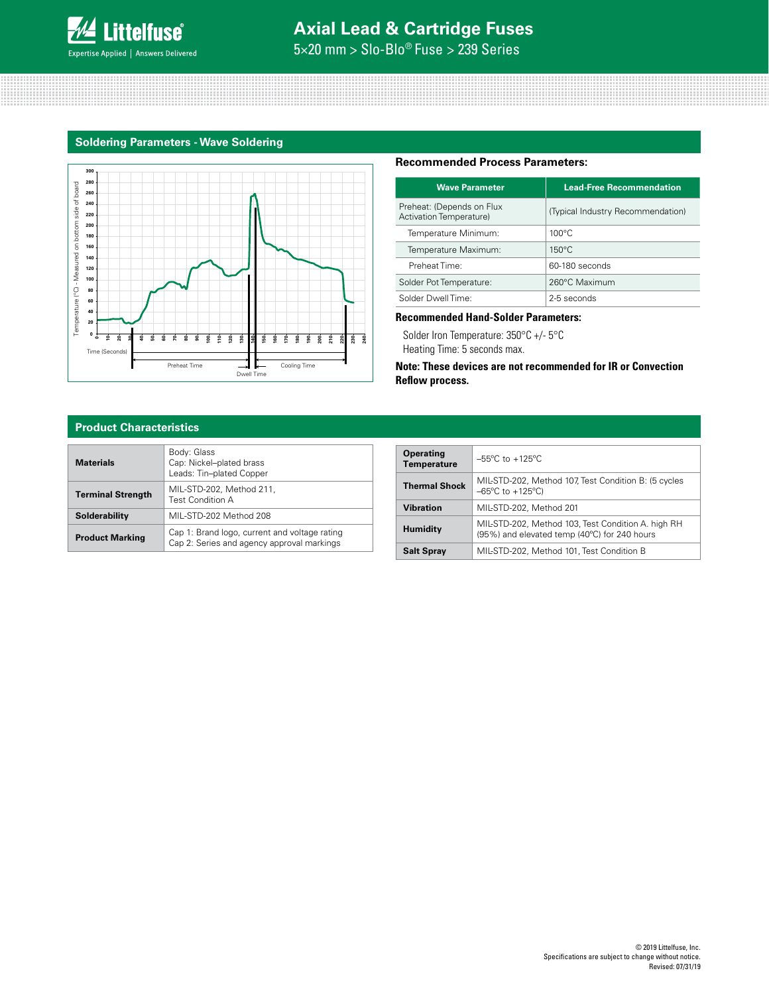

# **Axial Lead & Cartridge Fuses**

5×20 mm > Slo-Blo® Fuse > 239 Series

# **Soldering Parameters - Wave Soldering**



#### **Recommended Process Parameters:**

| <b>Wave Parameter</b>                                | <b>Lead-Free Recommendation</b>   |
|------------------------------------------------------|-----------------------------------|
| Preheat: (Depends on Flux<br>Activation Temperature) | (Typical Industry Recommendation) |
| Temperature Minimum:                                 | $100^{\circ}$ C                   |
| Temperature Maximum:                                 | $150^{\circ}$ C                   |
| Preheat Time:                                        | 60-180 seconds                    |
| Solder Pot Temperature:                              | 260°C Maximum                     |
| Solder Dwell Time:                                   | 2-5 seconds                       |

## **Recommended Hand-Solder Parameters:**

Solder Iron Temperature: 350°C +/- 5°C

Heating Time: 5 seconds max.

**Note: These devices are not recommended for IR or Convection Reflow process.**

## **Product Characteristics**

| Materials                | Body: Glass<br>Cap: Nickel-plated brass<br>Leads: Tin-plated Copper                         |
|--------------------------|---------------------------------------------------------------------------------------------|
| <b>Terminal Strength</b> | MIL-STD-202, Method 211,<br><b>Test Condition A</b>                                         |
| Solderability            | MIL-STD-202 Method 208                                                                      |
| <b>Product Marking</b>   | Cap 1: Brand logo, current and voltage rating<br>Cap 2: Series and agency approval markings |

| <b>Operating</b><br><b>Temperature</b> | $-55^{\circ}$ C to $+125^{\circ}$ C                                                                |
|----------------------------------------|----------------------------------------------------------------------------------------------------|
| <b>Thermal Shock</b>                   | MIL-STD-202, Method 107, Test Condition B: (5 cycles<br>$-65^{\circ}$ C to $+125^{\circ}$ C)       |
| <b>Vibration</b>                       | MIL-STD-202, Method 201                                                                            |
| <b>Humidity</b>                        | MIL-STD-202, Method 103, Test Condition A. high RH<br>(95%) and elevated temp (40°C) for 240 hours |
| <b>Salt Spray</b>                      | MIL-STD-202, Method 101, Test Condition B                                                          |